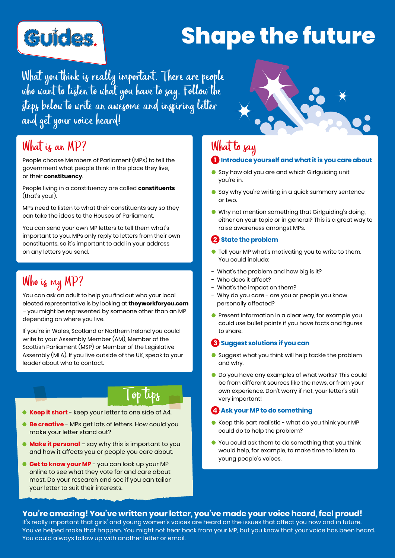

# **Shape the future**

What you think is really important. There are people who want to listen to what you have to say. Follow the steps below to write an awesome and inspiring letter and get your voice heard!

### What is an MP?

People choose Members of Parliament (MPs) to tell the government what people think in the place they live, or their **constituency**.

People living in a constituency are called **constituents** (that's you!).

MPs need to listen to what their constituents say so they can take the ideas to the Houses of Parliament.

You can send your own MP letters to tell them what's important to you. MPs only reply to letters from their own constituents, so it's important to add in your address on any letters you send.

## Who is my MP?

You can ask an adult to help you find out who your local elected representative is by looking at **theyworkforyou.com** – you might be represented by someone other than an MP depending on where you live.

If you're in Wales, Scotland or Northern Ireland you could write to your Assembly Member (AM), Member of the Scottish Parliament (MSP) or Member of the Legislative Assembly (MLA). If you live outside of the UK, speak to your leader about who to contact.

## Top tips

- **Keep it short** keep your letter to one side of A4.
- **Be creative** MPs get lots of letters. How could you make your letter stand out?
- **Make it personal** say why this is important to you and how it affects you or people you care about.
- **Get to know your MP** you can look up your MP online to see what they vote for and care about most. Do your research and see if you can tailor your letter to suit their interests.

## What to say

#### **1 Introduce yourself and what it is you care about**

- Say how old you are and which Girlguiding unit you're in.
- Say why you're writing in a quick summary sentence or two.
- Why not mention something that Girlguiding's doing, either on your topic or in general? This is a great way to raise awareness amongst MPs.

#### **2 State the problem**

- **•** Tell your MP what's motivating you to write to them. You could include:
- What's the problem and how big is it?
- Who does it affect?
- What's the impact on them?
- Why do you care are you or people you know personally affected?
- **•** Present information in a clear way, for example you could use bullet points if you have facts and figures to share.

#### **3 Suggest solutions if you can**

- Suggest what you think will help tackle the problem and why.
- **O** Do you have any examples of what works? This could be from different sources like the news, or from your own experience. Don't worry if not, your letter's still very important!

#### *A* Ask your MP to do something

- Keep this part realistic what do you think your MP could do to help the problem?
- You could ask them to do something that you think would help, for example, to make time to listen to young people's voices.

#### **You're amazing! You've written your letter, you've made your voice heard, feel proud!**

It's really important that girls' and young women's voices are heard on the issues that affect you now and in future. You've helped make that happen. You might not hear back from your MP, but you know that your voice has been heard. You could always follow up with another letter or email.